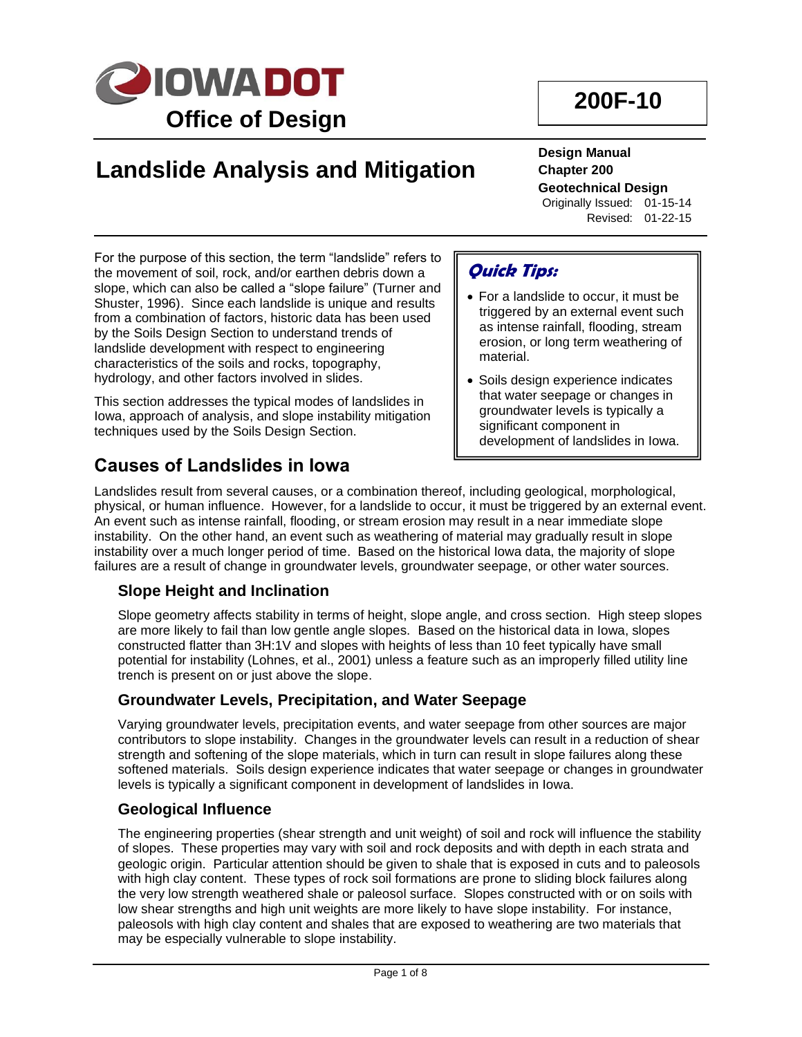

# **Landslide Analysis and Mitigation**

**Design Manual Chapter 200 Geotechnical Design** Originally Issued: 01-15-14 Revised: 01-22-15

For the purpose of this section, the term "landslide" refers to the movement of soil, rock, and/or earthen debris down a slope, which can also be called a "slope failure" (Turner and Shuster, 1996). Since each landslide is unique and results from a combination of factors, historic data has been used by the Soils Design Section to understand trends of landslide development with respect to engineering characteristics of the soils and rocks, topography, hydrology, and other factors involved in slides.

This section addresses the typical modes of landslides in Iowa, approach of analysis, and slope instability mitigation techniques used by the Soils Design Section.

# **Causes of Landslides in Iowa**

# **Quick Tips:**

- For a landslide to occur, it must be triggered by an external event such as intense rainfall, flooding, stream erosion, or long term weathering of material.
- Soils design experience indicates that water seepage or changes in groundwater levels is typically a significant component in development of landslides in Iowa.

Landslides result from several causes, or a combination thereof, including geological, morphological, physical, or human influence. However, for a landslide to occur, it must be triggered by an external event. An event such as intense rainfall, flooding, or stream erosion may result in a near immediate slope instability. On the other hand, an event such as weathering of material may gradually result in slope instability over a much longer period of time. Based on the historical Iowa data, the majority of slope failures are a result of change in groundwater levels, groundwater seepage, or other water sources.

## **Slope Height and Inclination**

Slope geometry affects stability in terms of height, slope angle, and cross section. High steep slopes are more likely to fail than low gentle angle slopes. Based on the historical data in Iowa, slopes constructed flatter than 3H:1V and slopes with heights of less than 10 feet typically have small potential for instability (Lohnes, et al., 2001) unless a feature such as an improperly filled utility line trench is present on or just above the slope.

## **Groundwater Levels, Precipitation, and Water Seepage**

Varying groundwater levels, precipitation events, and water seepage from other sources are major contributors to slope instability. Changes in the groundwater levels can result in a reduction of shear strength and softening of the slope materials, which in turn can result in slope failures along these softened materials. Soils design experience indicates that water seepage or changes in groundwater levels is typically a significant component in development of landslides in Iowa.

## **Geological Influence**

The engineering properties (shear strength and unit weight) of soil and rock will influence the stability of slopes. These properties may vary with soil and rock deposits and with depth in each strata and geologic origin. Particular attention should be given to shale that is exposed in cuts and to paleosols with high clay content. These types of rock soil formations are prone to sliding block failures along the very low strength weathered shale or paleosol surface. Slopes constructed with or on soils with low shear strengths and high unit weights are more likely to have slope instability. For instance, paleosols with high clay content and shales that are exposed to weathering are two materials that may be especially vulnerable to slope instability.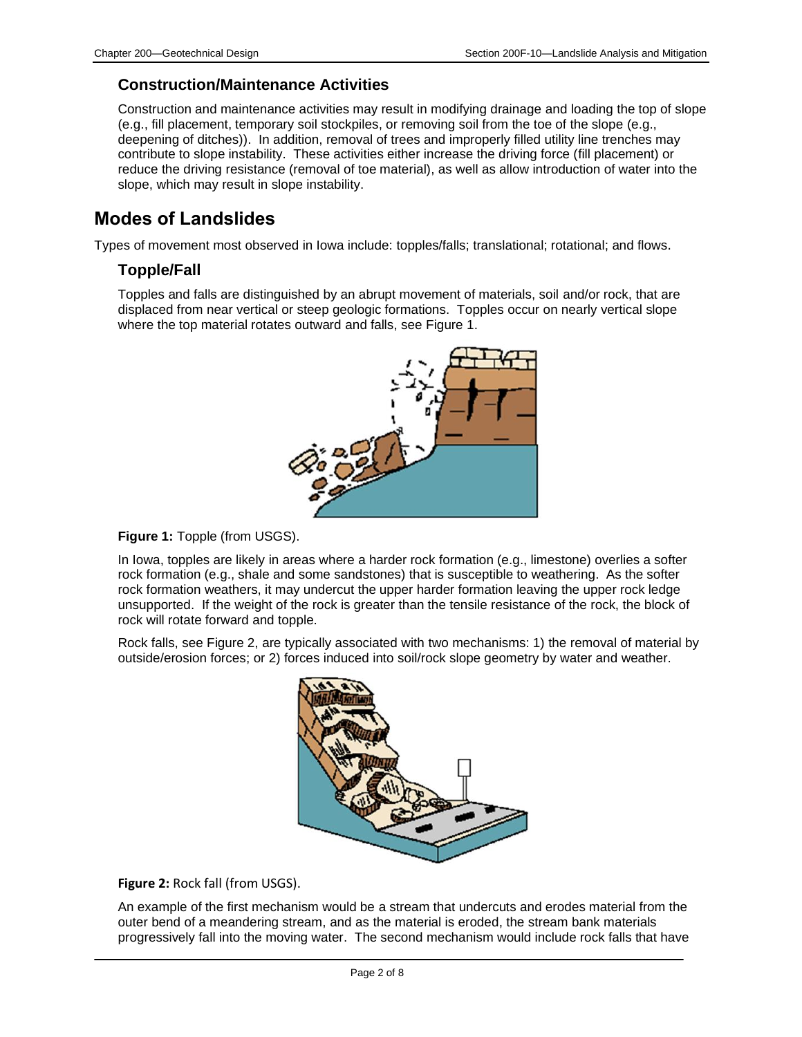#### **Construction/Maintenance Activities**

Construction and maintenance activities may result in modifying drainage and loading the top of slope (e.g., fill placement, temporary soil stockpiles, or removing soil from the toe of the slope (e.g., deepening of ditches)). In addition, removal of trees and improperly filled utility line trenches may contribute to slope instability. These activities either increase the driving force (fill placement) or reduce the driving resistance (removal of toe material), as well as allow introduction of water into the slope, which may result in slope instability.

# **Modes of Landslides**

Types of movement most observed in Iowa include: topples/falls; translational; rotational; and flows.

## **Topple/Fall**

Topples and falls are distinguished by an abrupt movement of materials, soil and/or rock, that are displaced from near vertical or steep geologic formations. Topples occur on nearly vertical slope where the top material rotates outward and falls, see Figure 1.



**Figure 1:** Topple (from USGS).

In Iowa, topples are likely in areas where a harder rock formation (e.g., limestone) overlies a softer rock formation (e.g., shale and some sandstones) that is susceptible to weathering. As the softer rock formation weathers, it may undercut the upper harder formation leaving the upper rock ledge unsupported. If the weight of the rock is greater than the tensile resistance of the rock, the block of rock will rotate forward and topple.

Rock falls, see Figure 2, are typically associated with two mechanisms: 1) the removal of material by outside/erosion forces; or 2) forces induced into soil/rock slope geometry by water and weather.



**Figure 2:** Rock fall (from USGS).

An example of the first mechanism would be a stream that undercuts and erodes material from the outer bend of a meandering stream, and as the material is eroded, the stream bank materials progressively fall into the moving water. The second mechanism would include rock falls that have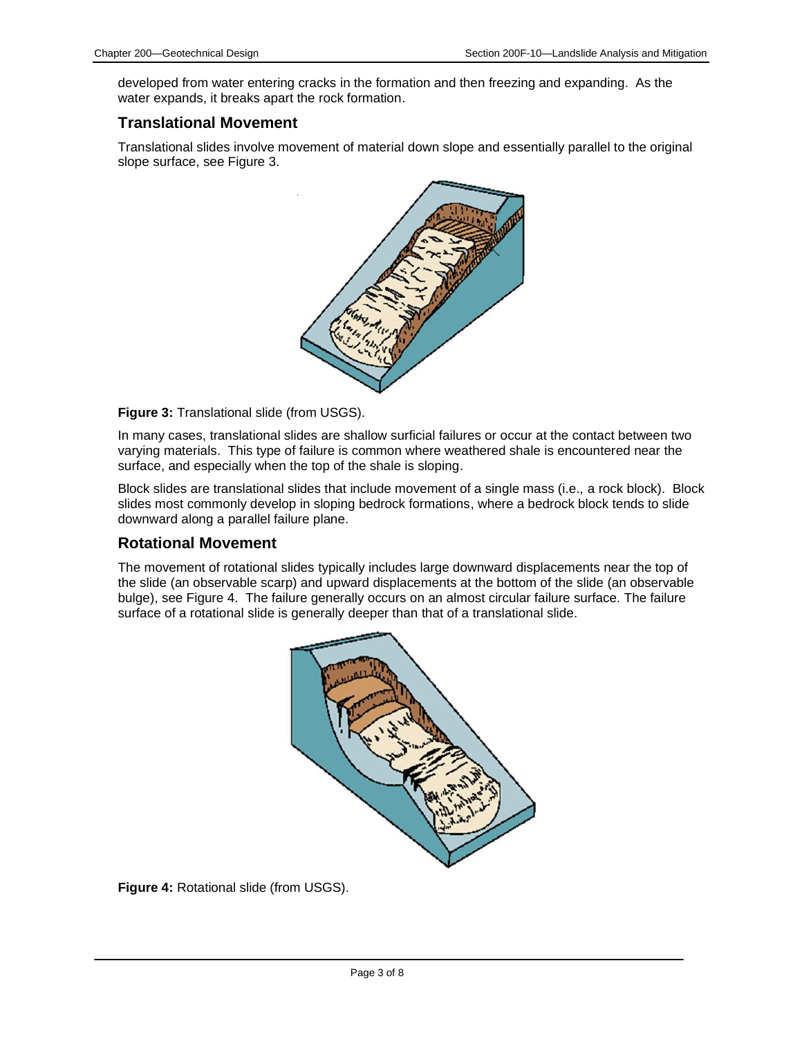developed from water entering cracks in the formation and then freezing and expanding. As the water expands, it breaks apart the rock formation.

#### **Translational Movement**

Translational slides involve movement of material down slope and essentially parallel to the original slope surface, see Figure 3.



**Figure 3:** Translational slide (from USGS).

In many cases, translational slides are shallow surficial failures or occur at the contact between two varying materials. This type of failure is common where weathered shale is encountered near the surface, and especially when the top of the shale is sloping.

Block slides are translational slides that include movement of a single mass (i.e., a rock block). Block slides most commonly develop in sloping bedrock formations, where a bedrock block tends to slide downward along a parallel failure plane.

#### **Rotational Movement**

The movement of rotational slides typically includes large downward displacements near the top of the slide (an observable scarp) and upward displacements at the bottom of the slide (an observable bulge), see Figure 4. The failure generally occurs on an almost circular failure surface. The failure surface of a rotational slide is generally deeper than that of a translational slide.



**Figure 4:** Rotational slide (from USGS).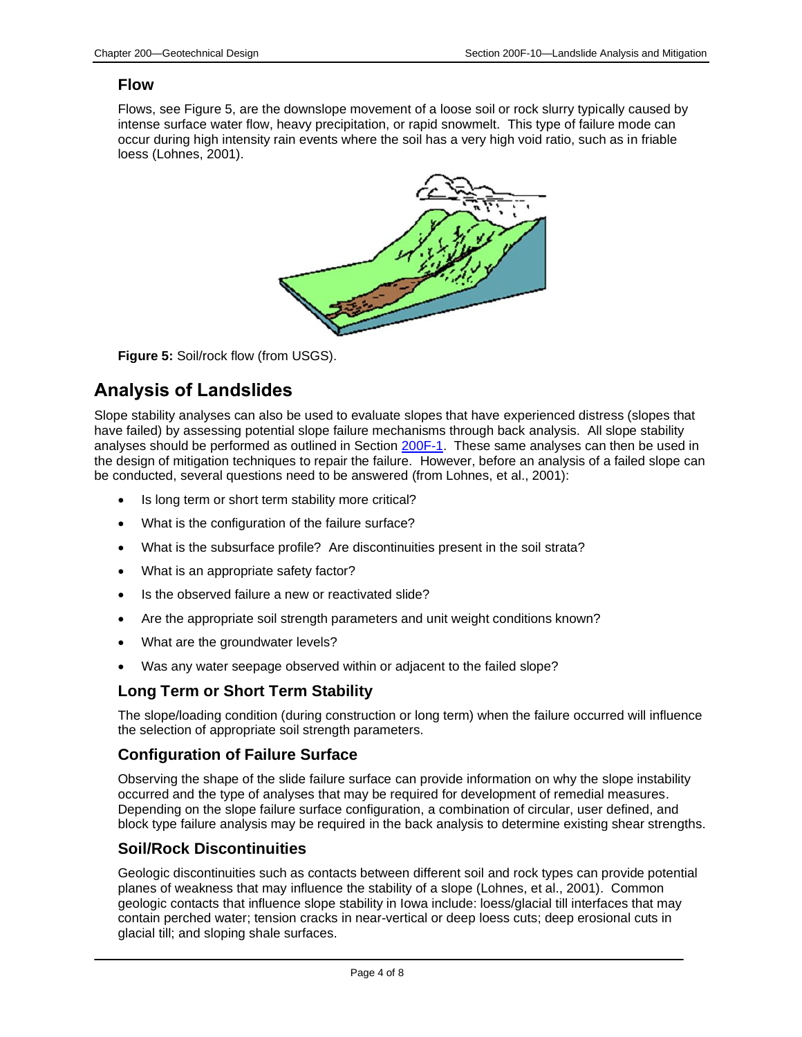#### **Flow**

Flows, see Figure 5, are the downslope movement of a loose soil or rock slurry typically caused by intense surface water flow, heavy precipitation, or rapid snowmelt. This type of failure mode can occur during high intensity rain events where the soil has a very high void ratio, such as in friable loess (Lohnes, 2001).



**Figure 5:** Soil/rock flow (from USGS).

# **Analysis of Landslides**

Slope stability analyses can also be used to evaluate slopes that have experienced distress (slopes that have failed) by assessing potential slope failure mechanisms through back analysis. All slope stability analyses should be performed as outlined in Section [200F-1.](200F-01.pdf) These same analyses can then be used in the design of mitigation techniques to repair the failure. However, before an analysis of a failed slope can be conducted, several questions need to be answered (from Lohnes, et al., 2001):

- Is long term or short term stability more critical?
- What is the configuration of the failure surface?
- What is the subsurface profile? Are discontinuities present in the soil strata?
- What is an appropriate safety factor?
- Is the observed failure a new or reactivated slide?
- Are the appropriate soil strength parameters and unit weight conditions known?
- What are the groundwater levels?
- Was any water seepage observed within or adjacent to the failed slope?

#### **Long Term or Short Term Stability**

The slope/loading condition (during construction or long term) when the failure occurred will influence the selection of appropriate soil strength parameters.

#### **Configuration of Failure Surface**

Observing the shape of the slide failure surface can provide information on why the slope instability occurred and the type of analyses that may be required for development of remedial measures. Depending on the slope failure surface configuration, a combination of circular, user defined, and block type failure analysis may be required in the back analysis to determine existing shear strengths.

#### **Soil/Rock Discontinuities**

Geologic discontinuities such as contacts between different soil and rock types can provide potential planes of weakness that may influence the stability of a slope (Lohnes, et al., 2001). Common geologic contacts that influence slope stability in Iowa include: loess/glacial till interfaces that may contain perched water; tension cracks in near-vertical or deep loess cuts; deep erosional cuts in glacial till; and sloping shale surfaces.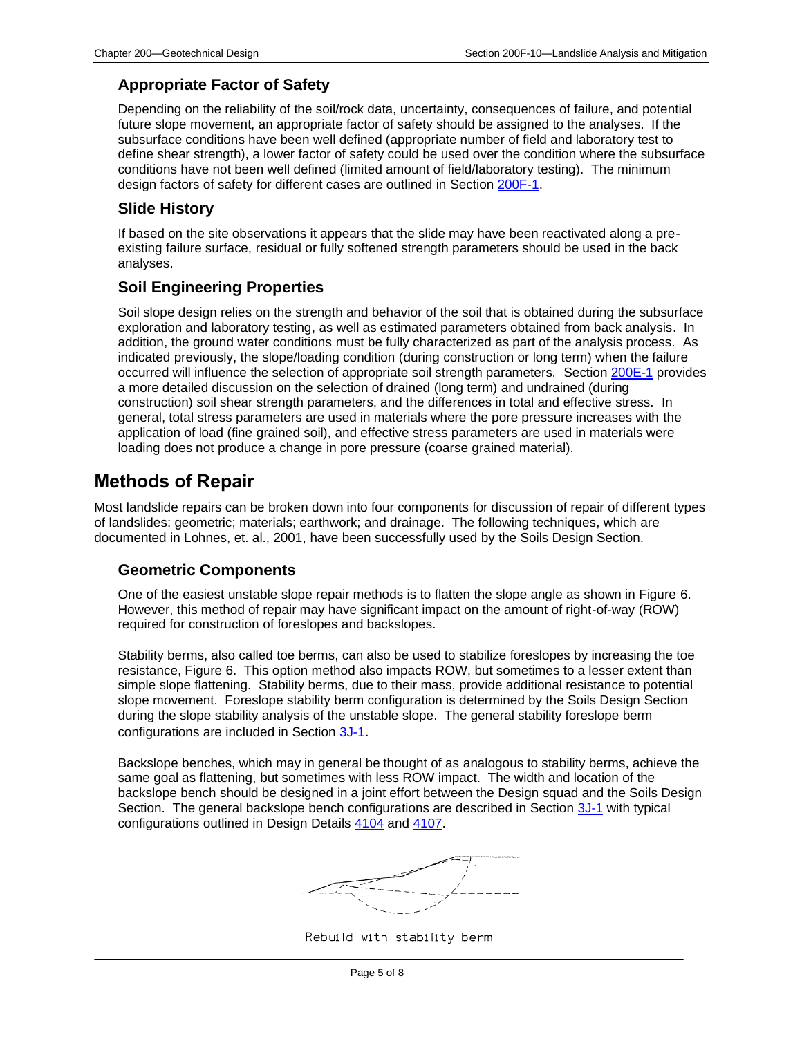### **Appropriate Factor of Safety**

Depending on the reliability of the soil/rock data, uncertainty, consequences of failure, and potential future slope movement, an appropriate factor of safety should be assigned to the analyses. If the subsurface conditions have been well defined (appropriate number of field and laboratory test to define shear strength), a lower factor of safety could be used over the condition where the subsurface conditions have not been well defined (limited amount of field/laboratory testing). The minimum design factors of safety for different cases are outlined in Section [200F-1.](200F-01.pdf)

#### **Slide History**

If based on the site observations it appears that the slide may have been reactivated along a preexisting failure surface, residual or fully softened strength parameters should be used in the back analyses.

### **Soil Engineering Properties**

Soil slope design relies on the strength and behavior of the soil that is obtained during the subsurface exploration and laboratory testing, as well as estimated parameters obtained from back analysis. In addition, the ground water conditions must be fully characterized as part of the analysis process. As indicated previously, the slope/loading condition (during construction or long term) when the failure occurred will influence the selection of appropriate soil strength parameters. Section [200E-1](200E-01.pdf) provides a more detailed discussion on the selection of drained (long term) and undrained (during construction) soil shear strength parameters, and the differences in total and effective stress. In general, total stress parameters are used in materials where the pore pressure increases with the application of load (fine grained soil), and effective stress parameters are used in materials were loading does not produce a change in pore pressure (coarse grained material).

# **Methods of Repair**

Most landslide repairs can be broken down into four components for discussion of repair of different types of landslides: geometric; materials; earthwork; and drainage. The following techniques, which are documented in Lohnes, et. al., 2001, have been successfully used by the Soils Design Section.

#### **Geometric Components**

One of the easiest unstable slope repair methods is to flatten the slope angle as shown in Figure 6. However, this method of repair may have significant impact on the amount of right-of-way (ROW) required for construction of foreslopes and backslopes.

Stability berms, also called toe berms, can also be used to stabilize foreslopes by increasing the toe resistance, Figure 6. This option method also impacts ROW, but sometimes to a lesser extent than simple slope flattening. Stability berms, due to their mass, provide additional resistance to potential slope movement. Foreslope stability berm configuration is determined by the Soils Design Section during the slope stability analysis of the unstable slope. The general stability foreslope berm configurations are included in Section [3J-1](03J-01.pdf).

Backslope benches, which may in general be thought of as analogous to stability berms, achieve the same goal as flattening, but sometimes with less ROW impact. The width and location of the backslope bench should be designed in a joint effort between the Design squad and the Soils Design Section. The general backslope bench configurations are described in Section [3J-1](03J-01.pdf) with typical configurations outlined in Design Details [4104](../tnt/PDFsandWebFiles/IndividualPDFs/4104.pdf) and [4107.](../tnt/PDFsandWebFiles/IndividualPDFs/4107.pdf)

Rebuild with stability berm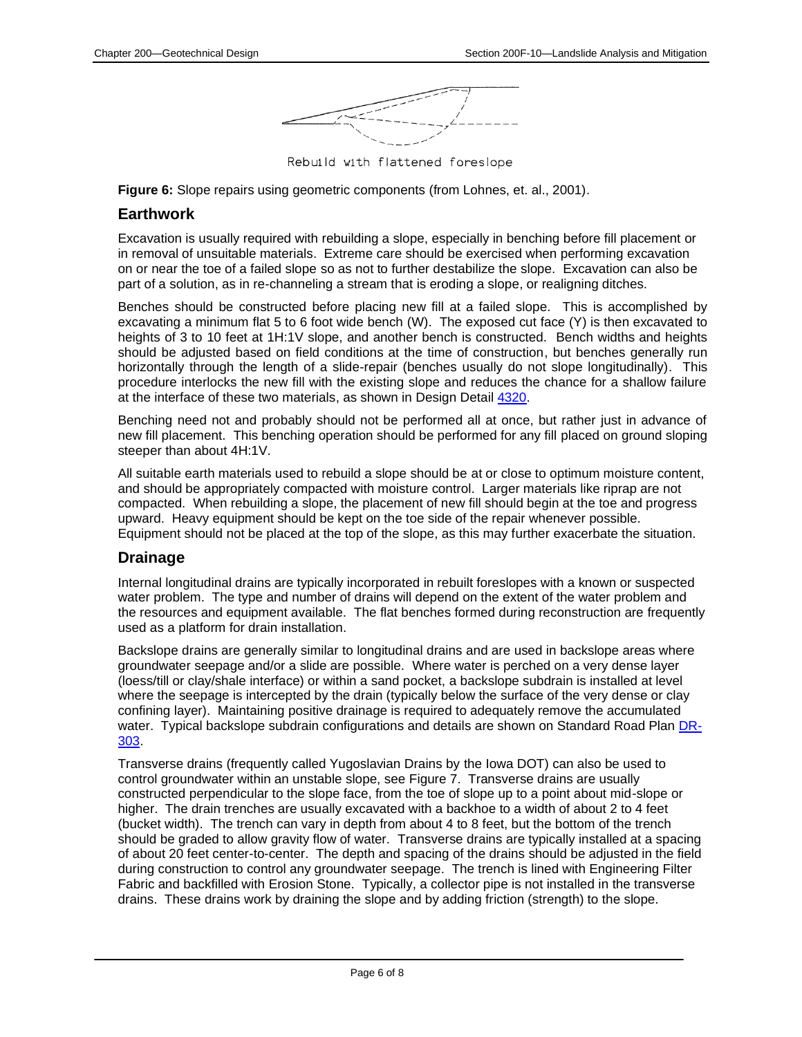

Rebuild with flattened foreslope

**Figure 6:** Slope repairs using geometric components (from Lohnes, et. al., 2001).

#### **Earthwork**

Excavation is usually required with rebuilding a slope, especially in benching before fill placement or in removal of unsuitable materials. Extreme care should be exercised when performing excavation on or near the toe of a failed slope so as not to further destabilize the slope. Excavation can also be part of a solution, as in re-channeling a stream that is eroding a slope, or realigning ditches.

Benches should be constructed before placing new fill at a failed slope. This is accomplished by excavating a minimum flat 5 to 6 foot wide bench (W). The exposed cut face (Y) is then excavated to heights of 3 to 10 feet at 1H:1V slope, and another bench is constructed. Bench widths and heights should be adjusted based on field conditions at the time of construction, but benches generally run horizontally through the length of a slide-repair (benches usually do not slope longitudinally). This procedure interlocks the new fill with the existing slope and reduces the chance for a shallow failure at the interface of these two materials, as shown in Design Detail [4320.](../tnt/PDFsandWebFiles/IndividualPDFs/4320.pdf)

Benching need not and probably should not be performed all at once, but rather just in advance of new fill placement. This benching operation should be performed for any fill placed on ground sloping steeper than about 4H:1V.

All suitable earth materials used to rebuild a slope should be at or close to optimum moisture content, and should be appropriately compacted with moisture control. Larger materials like riprap are not compacted. When rebuilding a slope, the placement of new fill should begin at the toe and progress upward. Heavy equipment should be kept on the toe side of the repair whenever possible. Equipment should not be placed at the top of the slope, as this may further exacerbate the situation.

#### **Drainage**

Internal longitudinal drains are typically incorporated in rebuilt foreslopes with a known or suspected water problem. The type and number of drains will depend on the extent of the water problem and the resources and equipment available. The flat benches formed during reconstruction are frequently used as a platform for drain installation.

Backslope drains are generally similar to longitudinal drains and are used in backslope areas where groundwater seepage and/or a slide are possible. Where water is perched on a very dense layer (loess/till or clay/shale interface) or within a sand pocket, a backslope subdrain is installed at level where the seepage is intercepted by the drain (typically below the surface of the very dense or clay confining layer). Maintaining positive drainage is required to adequately remove the accumulated water. Typical backslope subdrain configurations and details are shown on Standard Road Plan [DR-](../SRP/IndividualStandards/dr303.pdf)[303.](../SRP/IndividualStandards/dr303.pdf)

Transverse drains (frequently called Yugoslavian Drains by the Iowa DOT) can also be used to control groundwater within an unstable slope, see Figure 7. Transverse drains are usually constructed perpendicular to the slope face, from the toe of slope up to a point about mid-slope or higher. The drain trenches are usually excavated with a backhoe to a width of about 2 to 4 feet (bucket width). The trench can vary in depth from about 4 to 8 feet, but the bottom of the trench should be graded to allow gravity flow of water. Transverse drains are typically installed at a spacing of about 20 feet center-to-center. The depth and spacing of the drains should be adjusted in the field during construction to control any groundwater seepage. The trench is lined with Engineering Filter Fabric and backfilled with Erosion Stone. Typically, a collector pipe is not installed in the transverse drains. These drains work by draining the slope and by adding friction (strength) to the slope.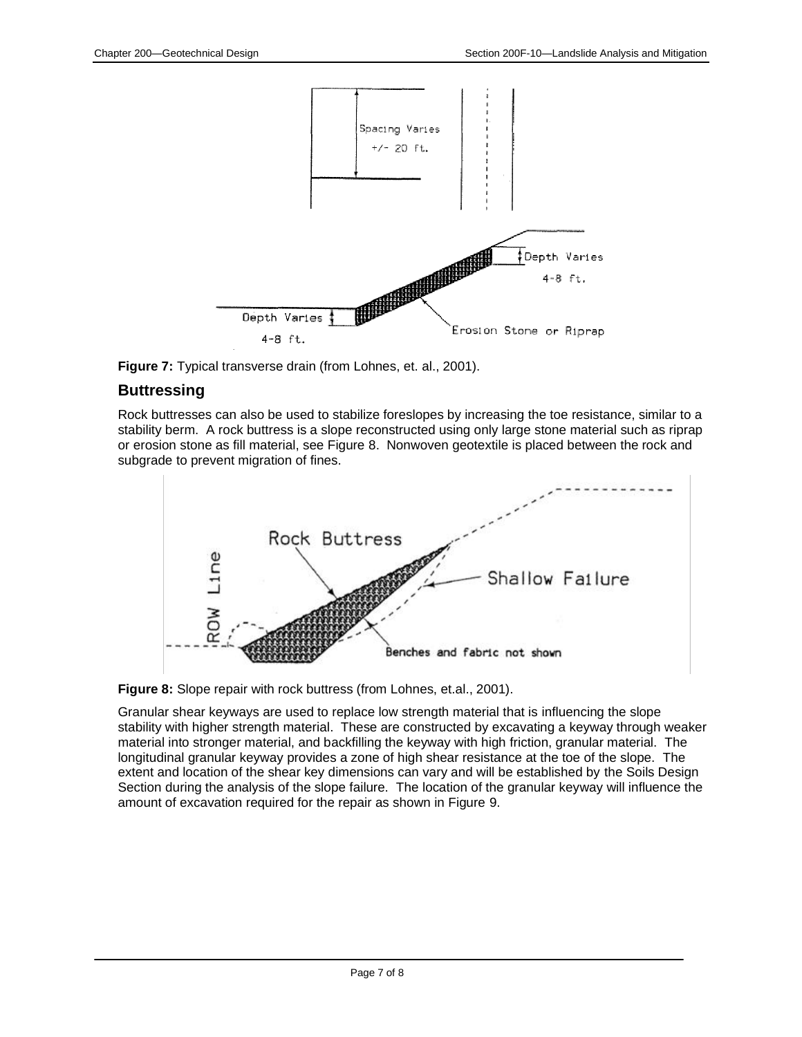

**Figure 7:** Typical transverse drain (from Lohnes, et. al., 2001).

#### **Buttressing**

Rock buttresses can also be used to stabilize foreslopes by increasing the toe resistance, similar to a stability berm. A rock buttress is a slope reconstructed using only large stone material such as riprap or erosion stone as fill material, see Figure 8. Nonwoven geotextile is placed between the rock and subgrade to prevent migration of fines.



**Figure 8:** Slope repair with rock buttress (from Lohnes, et.al., 2001).

Granular shear keyways are used to replace low strength material that is influencing the slope stability with higher strength material. These are constructed by excavating a keyway through weaker material into stronger material, and backfilling the keyway with high friction, granular material. The longitudinal granular keyway provides a zone of high shear resistance at the toe of the slope. The extent and location of the shear key dimensions can vary and will be established by the Soils Design Section during the analysis of the slope failure. The location of the granular keyway will influence the amount of excavation required for the repair as shown in Figure 9.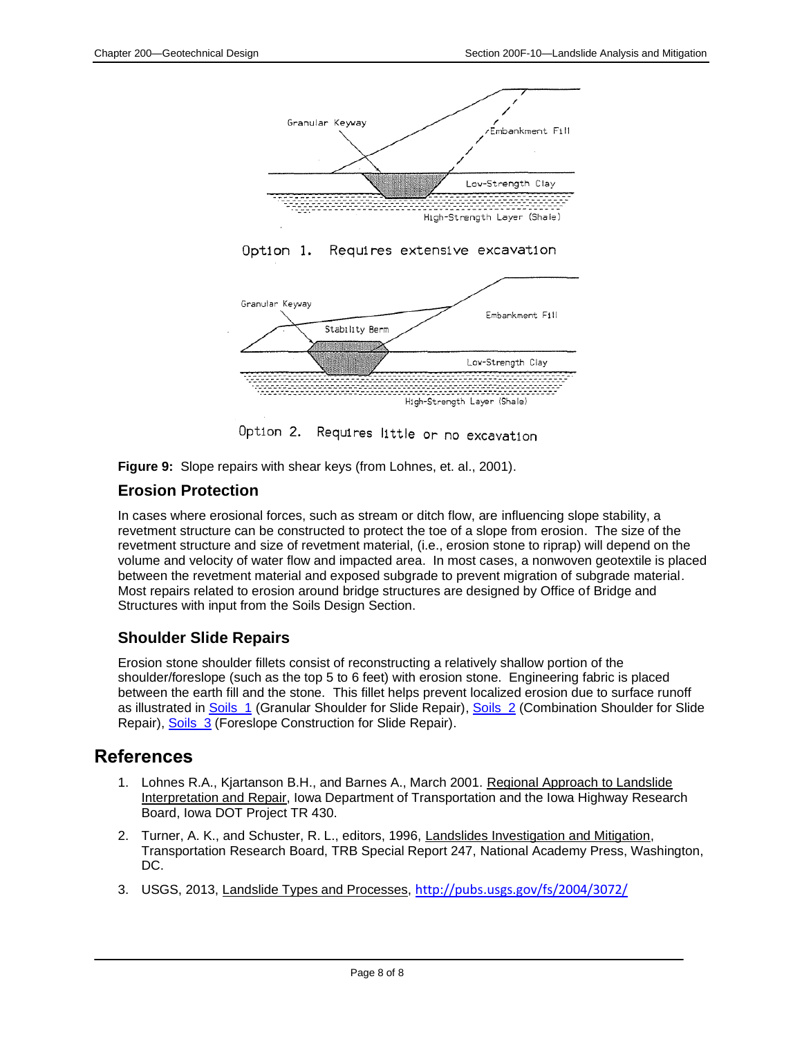

Option 1. Requires extensive excavation



Option 2. Requires little or no excavation

**Figure 9:** Slope repairs with shear keys (from Lohnes, et. al., 2001).

## **Erosion Protection**

In cases where erosional forces, such as stream or ditch flow, are influencing slope stability, a revetment structure can be constructed to protect the toe of a slope from erosion. The size of the revetment structure and size of revetment material, (i.e., erosion stone to riprap) will depend on the volume and velocity of water flow and impacted area. In most cases, a nonwoven geotextile is placed between the revetment material and exposed subgrade to prevent migration of subgrade material. Most repairs related to erosion around bridge structures are designed by Office of Bridge and Structures with input from the Soils Design Section.

### **Shoulder Slide Repairs**

Erosion stone shoulder fillets consist of reconstructing a relatively shallow portion of the shoulder/foreslope (such as the top 5 to 6 feet) with erosion stone. Engineering fabric is placed between the earth fill and the stone. This fillet helps prevent localized erosion due to surface runoff as illustrated in Soils 1 (Granular Shoulder for Slide Repair), Soils 2 (Combination Shoulder for Slide Repair), [Soils\\_3](../tnt/PDFsandWebFiles/IndividualPDFs/Soils_3_.pdf) (Foreslope Construction for Slide Repair).

# **References**

- 1. Lohnes R.A., Kjartanson B.H., and Barnes A., March 2001. Regional Approach to Landslide Interpretation and Repair, Iowa Department of Transportation and the Iowa Highway Research Board, Iowa DOT Project TR 430.
- 2. Turner, A. K., and Schuster, R. L., editors, 1996, Landslides Investigation and Mitigation, Transportation Research Board, TRB Special Report 247, National Academy Press, Washington, DC.
- 3. USGS, 2013, Landslide Types and Processes, <http://pubs.usgs.gov/fs/2004/3072/>